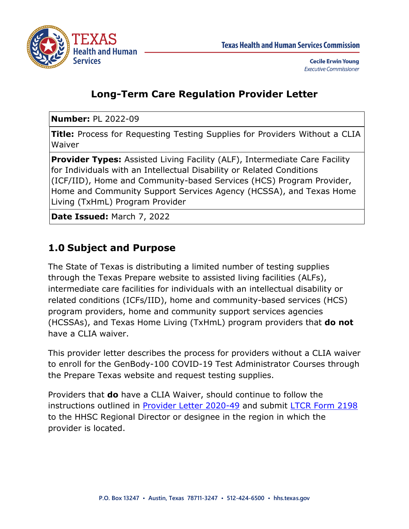

### **Long-Term Care Regulation Provider Letter**

**Number:** PL 2022-09

**Title:** Process for Requesting Testing Supplies for Providers Without a CLIA Waiver

**Provider Types:** Assisted Living Facility (ALF), Intermediate Care Facility for Individuals with an Intellectual Disability or Related Conditions (ICF/IID), Home and Community-based Services (HCS) Program Provider, Home and Community Support Services Agency (HCSSA), and Texas Home Living (TxHmL) Program Provider

**Date Issued:** March 7, 2022

## **1.0 Subject and Purpose**

The State of Texas is distributing a limited number of testing supplies through the Texas Prepare website to assisted living facilities (ALFs), intermediate care facilities for individuals with an intellectual disability or related conditions (ICFs/IID), home and community-based services (HCS) program providers, home and community support services agencies (HCSSAs), and Texas Home Living (TxHmL) program providers that **do not** have a CLIA waiver.

This provider letter describes the process for providers without a CLIA waiver to enroll for the GenBody-100 COVID-19 Test Administrator Courses through the Prepare Texas website and request testing supplies.

Providers that **do** have a CLIA Waiver, should continue to follow the instructions outlined in [Provider Letter 2020-49](https://www.hhs.texas.gov/sites/default/files/documents/providers/communications/2020/letters/PL2020-49.pdf) and submit [LTCR Form 2198](https://www.hhs.texas.gov/sites/default/files/documents/services/health/coronavirus-covid-19/attestation-free-covid-19-test-kits.pdf) to the HHSC Regional Director or designee in the region in which the provider is located.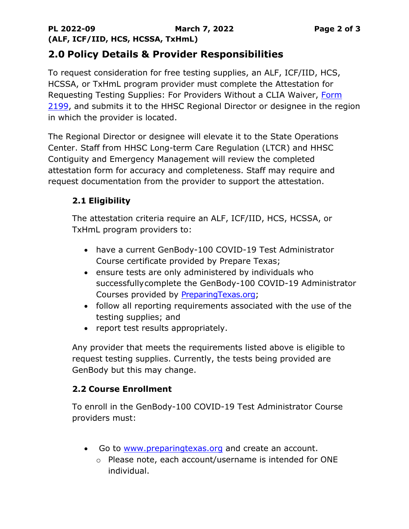### **2.0 Policy Details & Provider Responsibilities**

To request consideration for free testing supplies, an ALF, ICF/IID, HCS, HCSSA, or TxHmL program provider must complete the Attestation for Requesting Testing Supplies: For Providers Without a CLIA Waiver, [Form](https://www.hhs.texas.gov/sites/default/files/documents/attestation-form-requesting-testing-supplies-providers-without-CLIA-waiver-march-2022.pdf)  [2199,](https://www.hhs.texas.gov/sites/default/files/documents/attestation-form-requesting-testing-supplies-providers-without-CLIA-waiver-march-2022.pdf) and submits it to the HHSC Regional Director or designee in the region in which the provider is located.

The Regional Director or designee will elevate it to the State Operations Center. Staff from HHSC Long-term Care Regulation (LTCR) and HHSC Contiguity and Emergency Management will review the completed attestation form for accuracy and completeness. Staff may require and request documentation from the provider to support the attestation.

#### **2.1 Eligibility**

The attestation criteria require an ALF, ICF/IID, HCS, HCSSA, or TxHmL program providers to:

- have a current GenBody-100 COVID-19 Test Administrator Course certificate provided by Prepare Texas;
- ensure tests are only administered by individuals who successfullycomplete the GenBody-100 COVID-19 Administrator Courses provided by [PreparingTexas.org;](https://www.preparingtexas.org/Index.aspx)
- follow all reporting requirements associated with the use of the testing supplies; and
- report test results appropriately.

Any provider that meets the requirements listed above is eligible to request testing supplies. Currently, the tests being provided are GenBody but this may change.

#### **2.2 Course Enrollment**

To enroll in the GenBody-100 COVID-19 Test Administrator Course providers must:

- Go to [www.preparingtexas.org](http://www.preparingtexas.org/) and create an account.
	- o Please note, each account/username is intended for ONE individual.